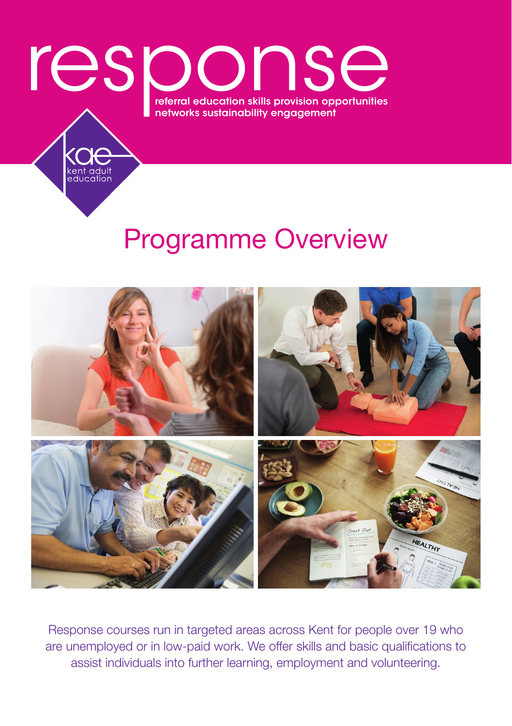

kent adult<br>education

# Programme Overview



Response courses run in targeted areas across Kent for people over 19 who are unemployed or in low-paid work. We offer skills and basic qualifications to assist individuals into further learning, employment and volunteering.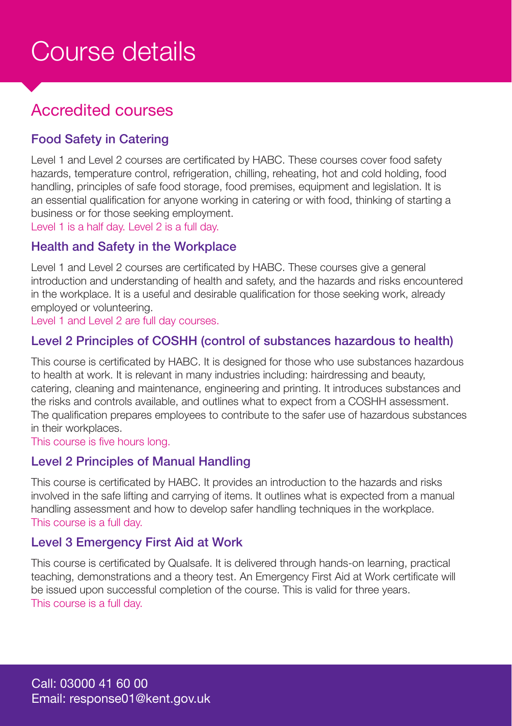# Course details

# Accredited courses

#### Food Safety in Catering

Level 1 and Level 2 courses are certificated by HABC. These courses cover food safety hazards, temperature control, refrigeration, chilling, reheating, hot and cold holding, food handling, principles of safe food storage, food premises, equipment and legislation. It is an essential qualification for anyone working in catering or with food, thinking of starting a business or for those seeking employment.

Level 1 is a half day. Level 2 is a full day.

#### Health and Safety in the Workplace

Level 1 and Level 2 courses are certificated by HABC. These courses give a general introduction and understanding of health and safety, and the hazards and risks encountered in the workplace. It is a useful and desirable qualification for those seeking work, already employed or volunteering.

Level 1 and Level 2 are full day courses.

#### Level 2 Principles of COSHH (control of substances hazardous to health)

This course is certificated by HABC. It is designed for those who use substances hazardous to health at work. It is relevant in many industries including: hairdressing and beauty, catering, cleaning and maintenance, engineering and printing. It introduces substances and the risks and controls available, and outlines what to expect from a COSHH assessment. The qualification prepares employees to contribute to the safer use of hazardous substances in their workplaces.

This course is five hours long.

#### Level 2 Principles of Manual Handling

This course is certificated by HABC. It provides an introduction to the hazards and risks involved in the safe lifting and carrying of items. It outlines what is expected from a manual handling assessment and how to develop safer handling techniques in the workplace. This course is a full day.

#### Level 3 Emergency First Aid at Work

This course is certificated by Qualsafe. It is delivered through hands-on learning, practical teaching, demonstrations and a theory test. An Emergency First Aid at Work certificate will be issued upon successful completion of the course. This is valid for three years. This course is a full day.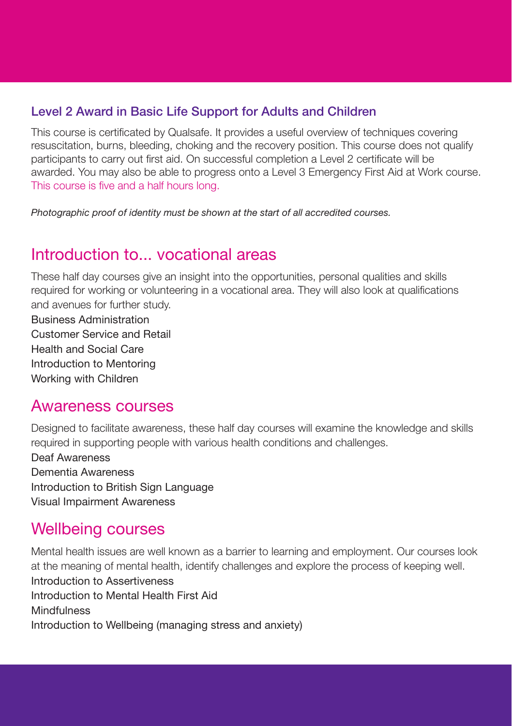#### Level 2 Award in Basic Life Support for Adults and Children

This course is certificated by Qualsafe. It provides a useful overview of techniques covering resuscitation, burns, bleeding, choking and the recovery position. This course does not qualify participants to carry out first aid. On successful completion a Level 2 certificate will be awarded. You may also be able to progress onto a Level 3 Emergency First Aid at Work course. This course is five and a half hours long.

*Photographic proof of identity must be shown at the start of all accredited courses.*

### Introduction to vocational areas

These half day courses give an insight into the opportunities, personal qualities and skills required for working or volunteering in a vocational area. They will also look at qualifications and avenues for further study.

Business Administration Customer Service and Retail Health and Social Care Introduction to Mentoring Working with Children

### Awareness courses

Designed to facilitate awareness, these half day courses will examine the knowledge and skills required in supporting people with various health conditions and challenges.

Deaf Awareness Dementia Awareness Introduction to British Sign Language Visual Impairment Awareness

### Wellbeing courses

Mental health issues are well known as a barrier to learning and employment. Our courses look at the meaning of mental health, identify challenges and explore the process of keeping well. Introduction to Assertiveness Introduction to Mental Health First Aid **Mindfulness** Introduction to Wellbeing (managing stress and anxiety)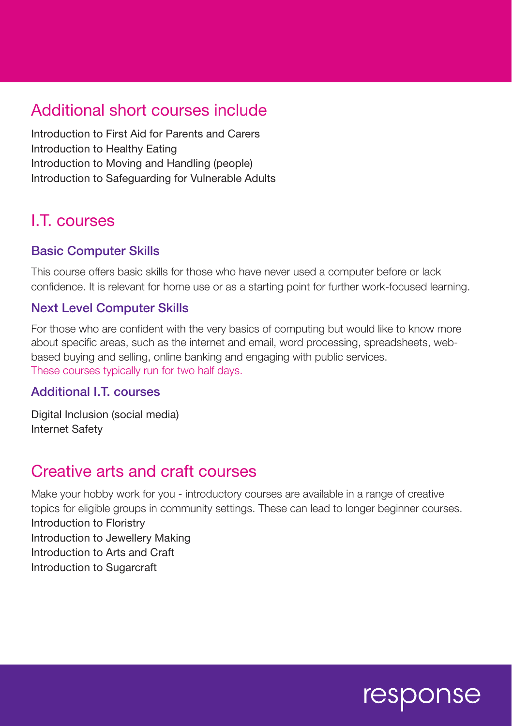# Additional short courses include

Introduction to First Aid for Parents and Carers Introduction to Healthy Eating Introduction to Moving and Handling (people) Introduction to Safeguarding for Vulnerable Adults

# I.T. courses

#### Basic Computer Skills

This course offers basic skills for those who have never used a computer before or lack confidence. It is relevant for home use or as a starting point for further work-focused learning.

#### Next Level Computer Skills

For those who are confident with the very basics of computing but would like to know more about specific areas, such as the internet and email, word processing, spreadsheets, webbased buying and selling, online banking and engaging with public services. These courses typically run for two half days.

#### Additional I.T. courses

Digital Inclusion (social media) Internet Safety

### Creative arts and craft courses

Make your hobby work for you - introductory courses are available in a range of creative topics for eligible groups in community settings. These can lead to longer beginner courses. Introduction to Floristry Introduction to Jewellery Making Introduction to Arts and Craft Introduction to Sugarcraft

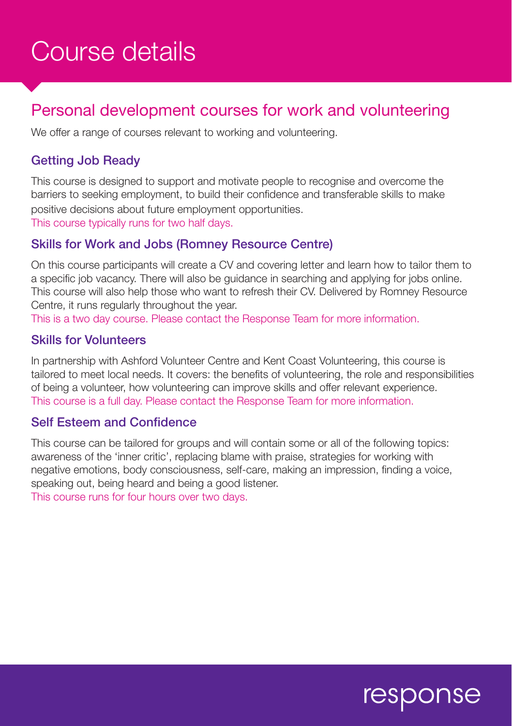# Course details

# Personal development courses for work and volunteering

We offer a range of courses relevant to working and volunteering.

#### Getting Job Ready

This course is designed to support and motivate people to recognise and overcome the barriers to seeking employment, to build their confidence and transferable skills to make positive decisions about future employment opportunities. This course typically runs for two half days.

#### Skills for Work and Jobs (Romney Resource Centre)

On this course participants will create a CV and covering letter and learn how to tailor them to a specific job vacancy. There will also be guidance in searching and applying for jobs online. This course will also help those who want to refresh their CV. Delivered by Romney Resource Centre, it runs regularly throughout the year.

This is a two day course. Please contact the Response Team for more information.

#### Skills for Volunteers

In partnership with Ashford Volunteer Centre and Kent Coast Volunteering, this course is tailored to meet local needs. It covers: the benefits of volunteering, the role and responsibilities of being a volunteer, how volunteering can improve skills and offer relevant experience. This course is a full day. Please contact the Response Team for more information.

#### Self Esteem and Confidence

This course can be tailored for groups and will contain some or all of the following topics: awareness of the 'inner critic', replacing blame with praise, strategies for working with negative emotions, body consciousness, self-care, making an impression, finding a voice, speaking out, being heard and being a good listener.

This course runs for four hours over two days.